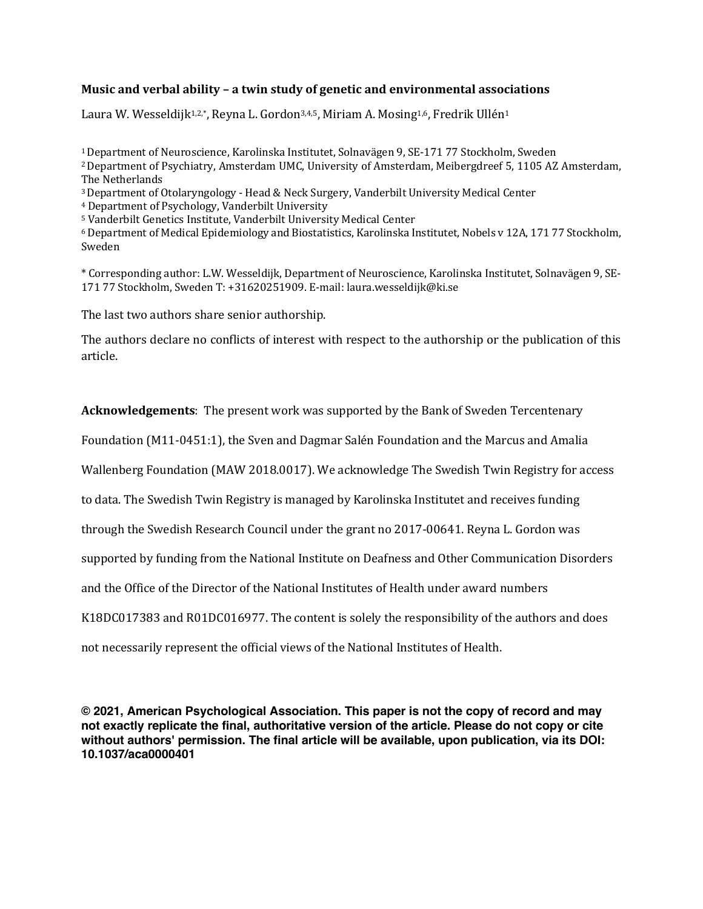# **Music and verbal ability - a twin study of genetic and environmental associations**

Laura W. Wesseldijk<sup>1,2,\*</sup>, Reyna L. Gordon<sup>3,4,5</sup>, Miriam A. Mosing<sup>1,6</sup>, Fredrik Ullén<sup>1</sup>

<sup>1</sup> Department of Neuroscience, Karolinska Institutet, Solnavägen 9, SE-171 77 Stockholm, Sweden <sup>2</sup> Department of Psychiatry, Amsterdam UMC, University of Amsterdam, Meibergdreef 5, 1105 AZ Amsterdam, The Netherlands

<sup>3</sup> Department of Otolaryngology - Head & Neck Surgery, Vanderbilt University Medical Center

<sup>4</sup> Department of Psychology, Vanderbilt University

<sup>5</sup> Vanderbilt Genetics Institute, Vanderbilt University Medical Center

<sup>6</sup> Department of Medical Epidemiology and Biostatistics, Karolinska Institutet, Nobels v 12A, 171 77 Stockholm, Sweden 

\* Corresponding author: L.W. Wesseldijk, Department of Neuroscience, Karolinska Institutet, Solnavägen 9, SE-171 77 Stockholm, Sweden T: +31620251909. E-mail: laura.wesseldijk@ki.se

The last two authors share senior authorship.

The authors declare no conflicts of interest with respect to the authorship or the publication of this article.

Acknowledgements: The present work was supported by the Bank of Sweden Tercentenary

Foundation (M11-0451:1), the Sven and Dagmar Salén Foundation and the Marcus and Amalia

Wallenberg Foundation (MAW 2018.0017). We acknowledge The Swedish Twin Registry for access

to data. The Swedish Twin Registry is managed by Karolinska Institutet and receives funding

through the Swedish Research Council under the grant no 2017-00641. Reyna L. Gordon was

supported by funding from the National Institute on Deafness and Other Communication Disorders

and the Office of the Director of the National Institutes of Health under award numbers

K18DC017383 and R01DC016977. The content is solely the responsibility of the authors and does

not necessarily represent the official views of the National Institutes of Health.

**© 2021, American Psychological Association. This paper is not the copy of record and may not exactly replicate the final, authoritative version of the article. Please do not copy or cite without authors' permission. The final article will be available, upon publication, via its DOI: 10.1037/aca0000401**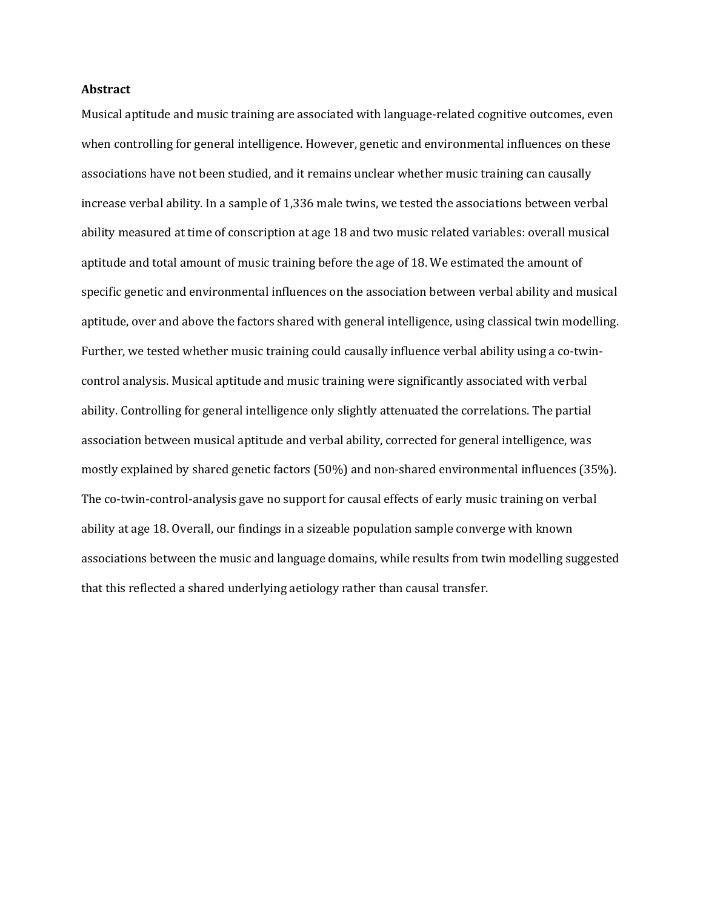## **Abstract**

Musical aptitude and music training are associated with language-related cognitive outcomes, even when controlling for general intelligence. However, genetic and environmental influences on these associations have not been studied, and it remains unclear whether music training can causally increase verbal ability. In a sample of 1,336 male twins, we tested the associations between verbal ability measured at time of conscription at age 18 and two music related variables: overall musical aptitude and total amount of music training before the age of 18. We estimated the amount of specific genetic and environmental influences on the association between verbal ability and musical aptitude, over and above the factors shared with general intelligence, using classical twin modelling. Further, we tested whether music training could causally influence verbal ability using a co-twincontrol analysis. Musical aptitude and music training were significantly associated with verbal ability. Controlling for general intelligence only slightly attenuated the correlations. The partial association between musical aptitude and verbal ability, corrected for general intelligence, was mostly explained by shared genetic factors (50%) and non-shared environmental influences (35%). The co-twin-control-analysis gave no support for causal effects of early music training on verbal ability at age 18. Overall, our findings in a sizeable population sample converge with known associations between the music and language domains, while results from twin modelling suggested that this reflected a shared underlying aetiology rather than causal transfer.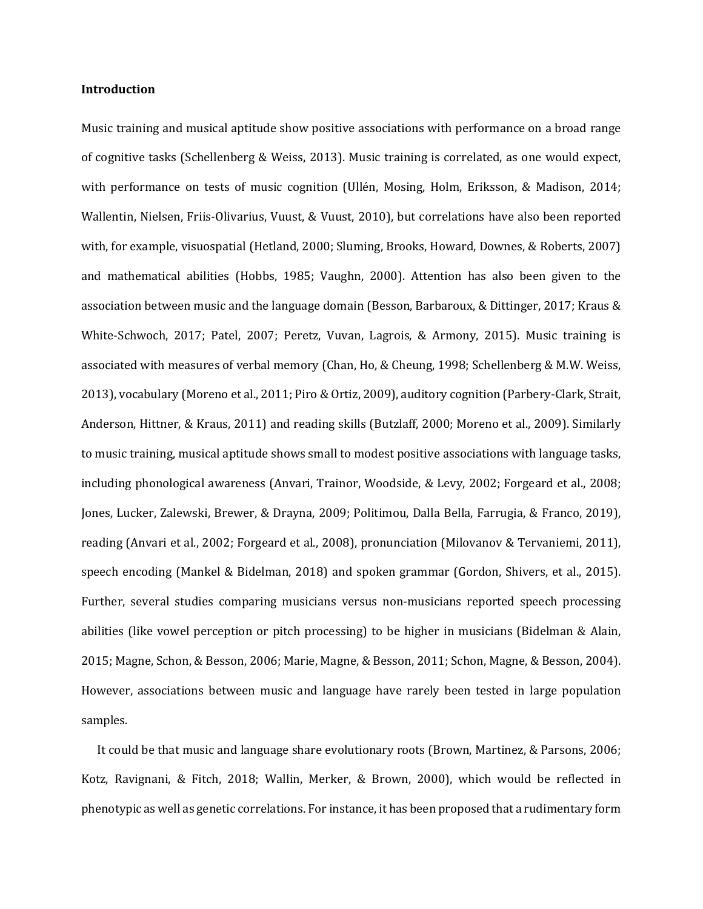## **Introduction**

Music training and musical aptitude show positive associations with performance on a broad range of cognitive tasks (Schellenberg & Weiss, 2013). Music training is correlated, as one would expect, with performance on tests of music cognition (Ullén, Mosing, Holm, Eriksson, & Madison, 2014; Wallentin, Nielsen, Friis-Olivarius, Vuust, & Vuust, 2010), but correlations have also been reported with, for example, visuospatial (Hetland, 2000; Sluming, Brooks, Howard, Downes, & Roberts, 2007) and mathematical abilities (Hobbs, 1985; Vaughn, 2000). Attention has also been given to the association between music and the language domain (Besson, Barbaroux, & Dittinger, 2017; Kraus & White-Schwoch, 2017; Patel, 2007; Peretz, Vuvan, Lagrois, & Armony, 2015). Music training is associated with measures of verbal memory (Chan, Ho, & Cheung, 1998; Schellenberg & M.W. Weiss, 2013), vocabulary (Moreno et al., 2011; Piro & Ortiz, 2009), auditory cognition (Parbery-Clark, Strait, Anderson, Hittner, & Kraus, 2011) and reading skills (Butzlaff, 2000; Moreno et al., 2009). Similarly to music training, musical aptitude shows small to modest positive associations with language tasks, including phonological awareness (Anvari, Trainor, Woodside, & Levy, 2002; Forgeard et al., 2008; Jones, Lucker, Zalewski, Brewer, & Drayna, 2009; Politimou, Dalla Bella, Farrugia, & Franco, 2019), reading (Anvari et al., 2002; Forgeard et al., 2008), pronunciation (Milovanov & Tervaniemi, 2011), speech encoding (Mankel & Bidelman, 2018) and spoken grammar (Gordon, Shivers, et al., 2015). Further, several studies comparing musicians versus non-musicians reported speech processing abilities (like vowel perception or pitch processing) to be higher in musicians (Bidelman & Alain, 2015; Magne, Schon, & Besson, 2006; Marie, Magne, & Besson, 2011; Schon, Magne, & Besson, 2004). However, associations between music and language have rarely been tested in large population samples. 

It could be that music and language share evolutionary roots (Brown, Martinez, & Parsons, 2006; Kotz, Ravignani, & Fitch, 2018; Wallin, Merker, & Brown, 2000), which would be reflected in phenotypic as well as genetic correlations. For instance, it has been proposed that a rudimentary form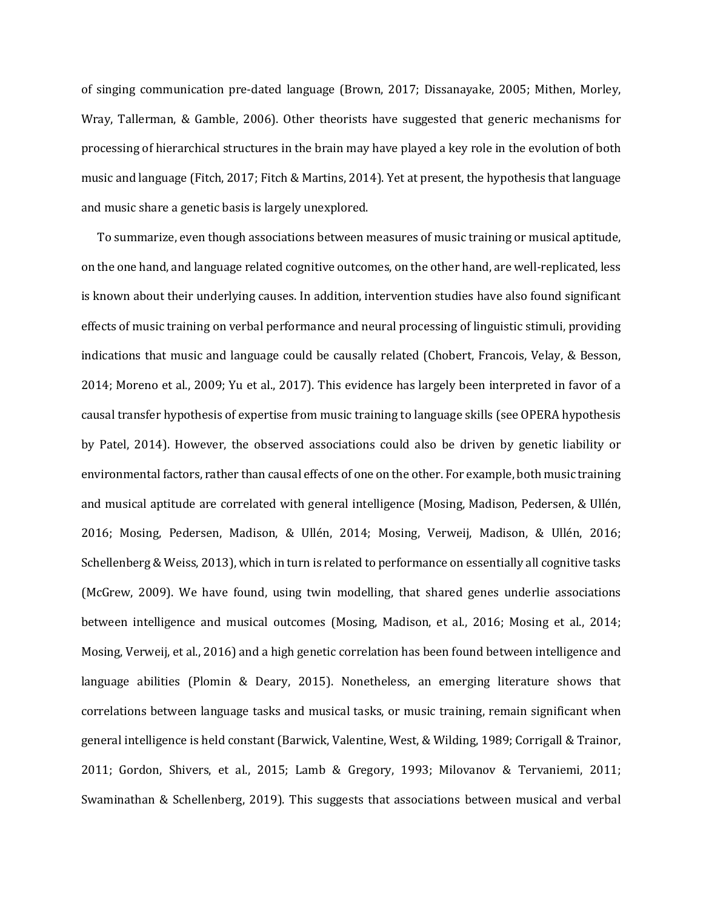of singing communication pre-dated language (Brown, 2017; Dissanayake, 2005; Mithen, Morley, Wray, Tallerman, & Gamble, 2006). Other theorists have suggested that generic mechanisms for processing of hierarchical structures in the brain may have played a key role in the evolution of both music and language (Fitch, 2017; Fitch & Martins, 2014). Yet at present, the hypothesis that language and music share a genetic basis is largely unexplored.

To summarize, even though associations between measures of music training or musical aptitude, on the one hand, and language related cognitive outcomes, on the other hand, are well-replicated, less is known about their underlying causes. In addition, intervention studies have also found significant effects of music training on verbal performance and neural processing of linguistic stimuli, providing indications that music and language could be causally related (Chobert, Francois, Velay, & Besson, 2014; Moreno et al., 2009; Yu et al., 2017). This evidence has largely been interpreted in favor of a causal transfer hypothesis of expertise from music training to language skills (see OPERA hypothesis by Patel, 2014). However, the observed associations could also be driven by genetic liability or environmental factors, rather than causal effects of one on the other. For example, both music training and musical aptitude are correlated with general intelligence (Mosing, Madison, Pedersen, & Ullén, 2016; Mosing, Pedersen, Madison, & Ullén, 2014; Mosing, Verweij, Madison, & Ullén, 2016; Schellenberg & Weiss, 2013), which in turn is related to performance on essentially all cognitive tasks (McGrew, 2009). We have found, using twin modelling, that shared genes underlie associations between intelligence and musical outcomes (Mosing, Madison, et al., 2016; Mosing et al., 2014; Mosing, Verweij, et al., 2016) and a high genetic correlation has been found between intelligence and language abilities (Plomin & Deary, 2015). Nonetheless, an emerging literature shows that correlations between language tasks and musical tasks, or music training, remain significant when general intelligence is held constant (Barwick, Valentine, West, & Wilding, 1989; Corrigall & Trainor, 2011; Gordon, Shivers, et al., 2015; Lamb & Gregory, 1993; Milovanov & Tervaniemi, 2011; Swaminathan & Schellenberg, 2019). This suggests that associations between musical and verbal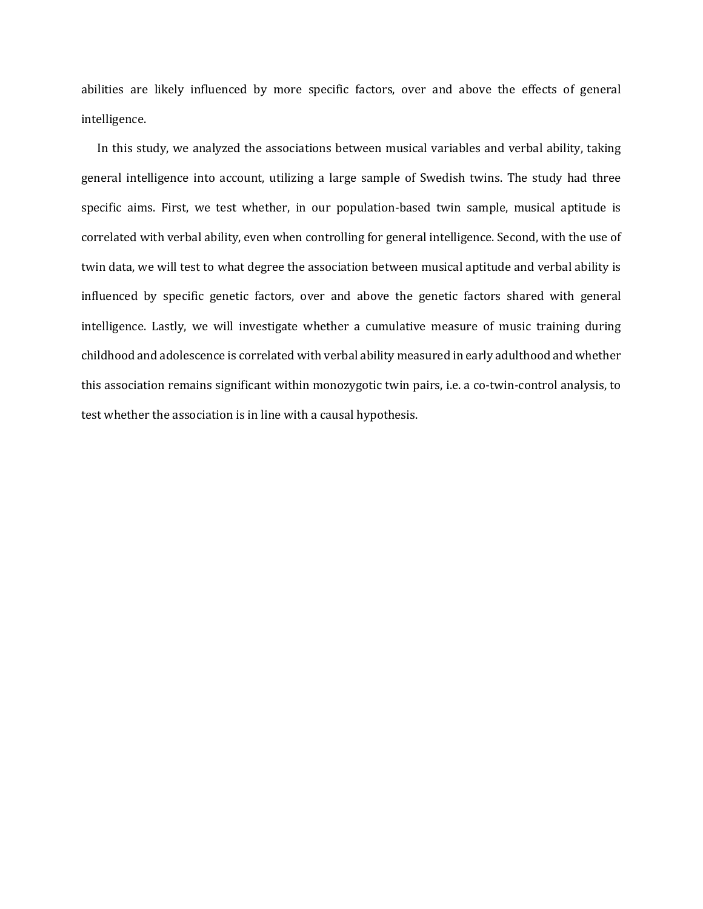abilities are likely influenced by more specific factors, over and above the effects of general intelligence. 

In this study, we analyzed the associations between musical variables and verbal ability, taking general intelligence into account, utilizing a large sample of Swedish twins. The study had three specific aims. First, we test whether, in our population-based twin sample, musical aptitude is correlated with verbal ability, even when controlling for general intelligence. Second, with the use of twin data, we will test to what degree the association between musical aptitude and verbal ability is influenced by specific genetic factors, over and above the genetic factors shared with general intelligence. Lastly, we will investigate whether a cumulative measure of music training during childhood and adolescence is correlated with verbal ability measured in early adulthood and whether this association remains significant within monozygotic twin pairs, i.e. a co-twin-control analysis, to test whether the association is in line with a causal hypothesis.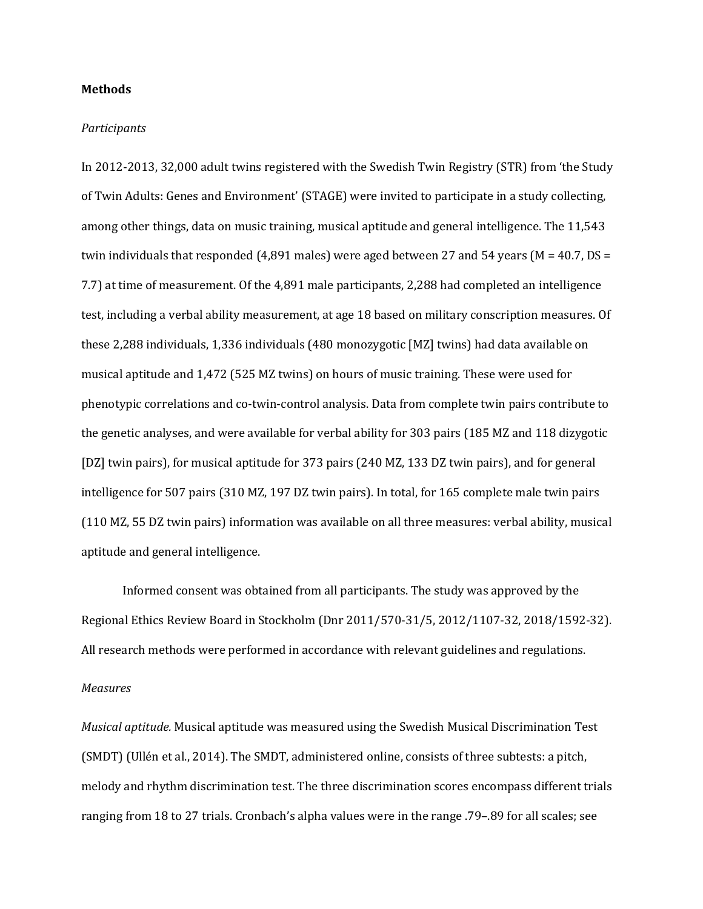#### **Methods**

#### *Participants*

In 2012-2013, 32,000 adult twins registered with the Swedish Twin Registry (STR) from 'the Study of Twin Adults: Genes and Environment' (STAGE) were invited to participate in a study collecting, among other things, data on music training, musical aptitude and general intelligence. The 11,543 twin individuals that responded  $(4,891$  males) were aged between 27 and 54 years  $(M = 40.7, DS =$ 7.7) at time of measurement. Of the 4,891 male participants, 2,288 had completed an intelligence test, including a verbal ability measurement, at age 18 based on military conscription measures. Of these 2,288 individuals, 1,336 individuals (480 monozygotic [MZ] twins) had data available on musical aptitude and 1,472 (525 MZ twins) on hours of music training. These were used for phenotypic correlations and co-twin-control analysis. Data from complete twin pairs contribute to the genetic analyses, and were available for verbal ability for 303 pairs (185 MZ and 118 dizygotic [DZ] twin pairs), for musical aptitude for 373 pairs (240 MZ, 133 DZ twin pairs), and for general intelligence for 507 pairs (310 MZ, 197 DZ twin pairs). In total, for 165 complete male twin pairs (110 MZ, 55 DZ twin pairs) information was available on all three measures: verbal ability, musical aptitude and general intelligence.

Informed consent was obtained from all participants. The study was approved by the Regional Ethics Review Board in Stockholm (Dnr 2011/570-31/5, 2012/1107-32, 2018/1592-32). All research methods were performed in accordance with relevant guidelines and regulations. *Measures*

*Musical aptitude.* Musical aptitude was measured using the Swedish Musical Discrimination Test (SMDT) (Ullén et al., 2014). The SMDT, administered online, consists of three subtests: a pitch, melody and rhythm discrimination test. The three discrimination scores encompass different trials ranging from 18 to 27 trials. Cronbach's alpha values were in the range .79–.89 for all scales; see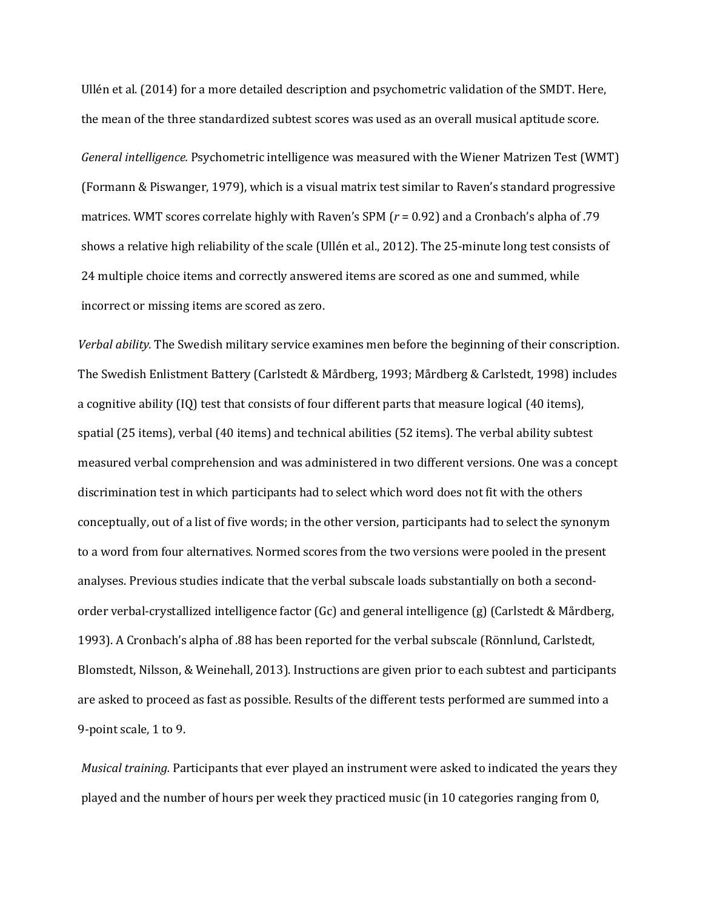Ullén et al. (2014) for a more detailed description and psychometric validation of the SMDT. Here, the mean of the three standardized subtest scores was used as an overall musical aptitude score.

*General intelligence.* Psychometric intelligence was measured with the Wiener Matrizen Test (WMT) (Formann & Piswanger, 1979), which is a visual matrix test similar to Raven's standard progressive matrices. WMT scores correlate highly with Raven's SPM  $(r = 0.92)$  and a Cronbach's alpha of .79 shows a relative high reliability of the scale (Ullén et al., 2012). The 25-minute long test consists of 24 multiple choice items and correctly answered items are scored as one and summed, while incorrect or missing items are scored as zero.

*Verbal ability.* The Swedish military service examines men before the beginning of their conscription. The Swedish Enlistment Battery (Carlstedt & Mårdberg, 1993; Mårdberg & Carlstedt, 1998) includes a cognitive ability (IQ) test that consists of four different parts that measure logical (40 items), spatial  $(25 \text{ items})$ , verbal  $(40 \text{ items})$  and technical abilities  $(52 \text{ items})$ . The verbal ability subtest measured verbal comprehension and was administered in two different versions. One was a concept discrimination test in which participants had to select which word does not fit with the others conceptually, out of a list of five words; in the other version, participants had to select the synonym to a word from four alternatives. Normed scores from the two versions were pooled in the present analyses. Previous studies indicate that the verbal subscale loads substantially on both a secondorder verbal-crystallized intelligence factor (Gc) and general intelligence (g) (Carlstedt & Mårdberg, 1993). A Cronbach's alpha of .88 has been reported for the verbal subscale (Rönnlund, Carlstedt, Blomstedt, Nilsson, & Weinehall, 2013). Instructions are given prior to each subtest and participants are asked to proceed as fast as possible. Results of the different tests performed are summed into a 9-point scale, 1 to 9.

*Musical training.* Participants that ever played an instrument were asked to indicated the years they played and the number of hours per week they practiced music (in 10 categories ranging from 0,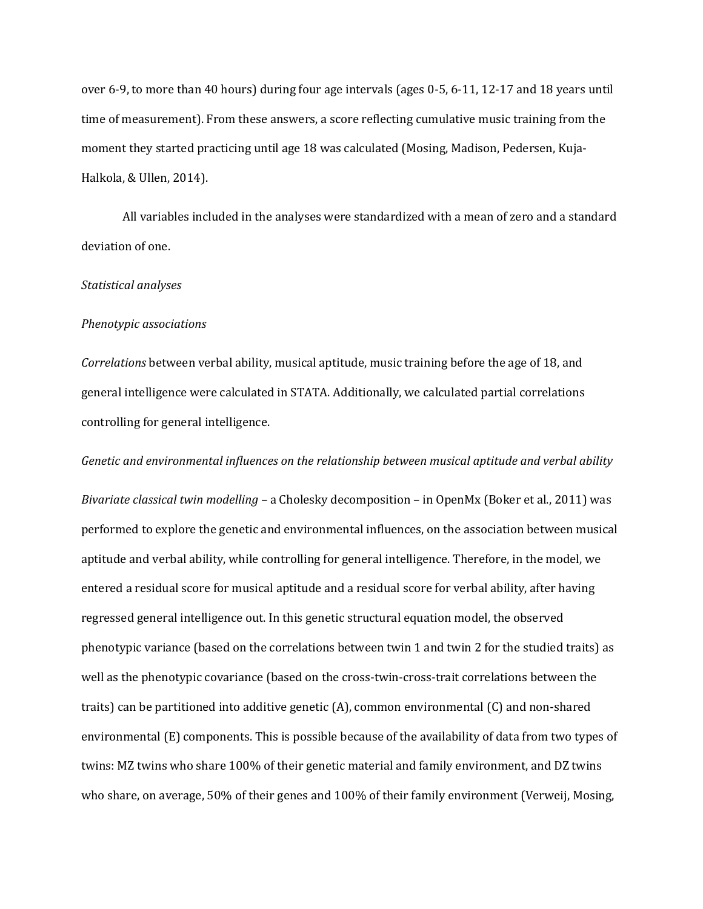over 6-9, to more than 40 hours) during four age intervals (ages 0-5, 6-11, 12-17 and 18 years until time of measurement). From these answers, a score reflecting cumulative music training from the moment they started practicing until age 18 was calculated (Mosing, Madison, Pedersen, Kuja-Halkola, & Ullen, 2014).

All variables included in the analyses were standardized with a mean of zero and a standard deviation of one.

# *Statistical analyses*

#### *Phenotypic associations*

*Correlations* between verbal ability, musical aptitude, music training before the age of 18, and general intelligence were calculated in STATA. Additionally, we calculated partial correlations controlling for general intelligence.

## *Genetic and environmental influences on the relationship between musical aptitude and verbal ability*

*Bivariate classical twin modelling* – a Cholesky decomposition – in OpenMx (Boker et al., 2011) was performed to explore the genetic and environmental influences, on the association between musical aptitude and verbal ability, while controlling for general intelligence. Therefore, in the model, we entered a residual score for musical aptitude and a residual score for verbal ability, after having regressed general intelligence out. In this genetic structural equation model, the observed phenotypic variance (based on the correlations between twin 1 and twin 2 for the studied traits) as well as the phenotypic covariance (based on the cross-twin-cross-trait correlations between the traits) can be partitioned into additive genetic  $(A)$ , common environmental  $(C)$  and non-shared environmental  $(E)$  components. This is possible because of the availability of data from two types of twins: MZ twins who share 100% of their genetic material and family environment, and DZ twins who share, on average, 50% of their genes and 100% of their family environment (Verweij, Mosing,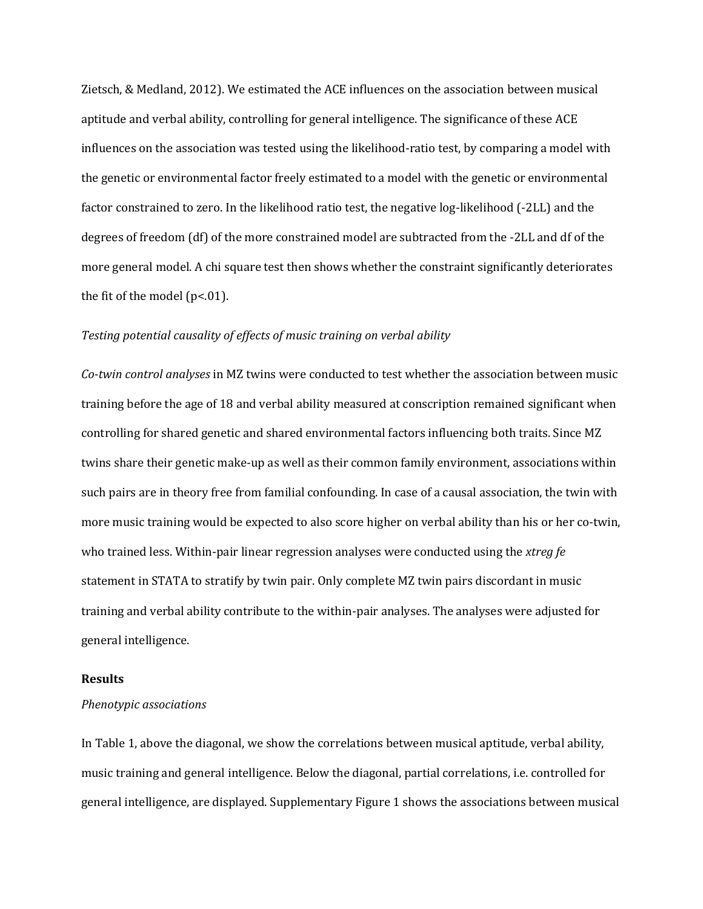Zietsch, & Medland, 2012). We estimated the ACE influences on the association between musical aptitude and verbal ability, controlling for general intelligence. The significance of these ACE influences on the association was tested using the likelihood-ratio test, by comparing a model with the genetic or environmental factor freely estimated to a model with the genetic or environmental factor constrained to zero. In the likelihood ratio test, the negative log-likelihood (-2LL) and the degrees of freedom (df) of the more constrained model are subtracted from the -2LL and df of the more general model. A chi square test then shows whether the constraint significantly deteriorates the fit of the model ( $p$ <.01).

## Testing potential causality of effects of music training on verbal ability

Co-twin control analyses in MZ twins were conducted to test whether the association between music training before the age of 18 and verbal ability measured at conscription remained significant when controlling for shared genetic and shared environmental factors influencing both traits. Since MZ twins share their genetic make-up as well as their common family environment, associations within such pairs are in theory free from familial confounding. In case of a causal association, the twin with more music training would be expected to also score higher on verbal ability than his or her co-twin, who trained less. Within-pair linear regression analyses were conducted using the *xtreg fe* statement in STATA to stratify by twin pair. Only complete MZ twin pairs discordant in music training and verbal ability contribute to the within-pair analyses. The analyses were adjusted for general intelligence.

#### **Results**

#### *Phenotypic associations*

In Table 1, above the diagonal, we show the correlations between musical aptitude, verbal ability, music training and general intelligence. Below the diagonal, partial correlations, i.e. controlled for general intelligence, are displayed. Supplementary Figure 1 shows the associations between musical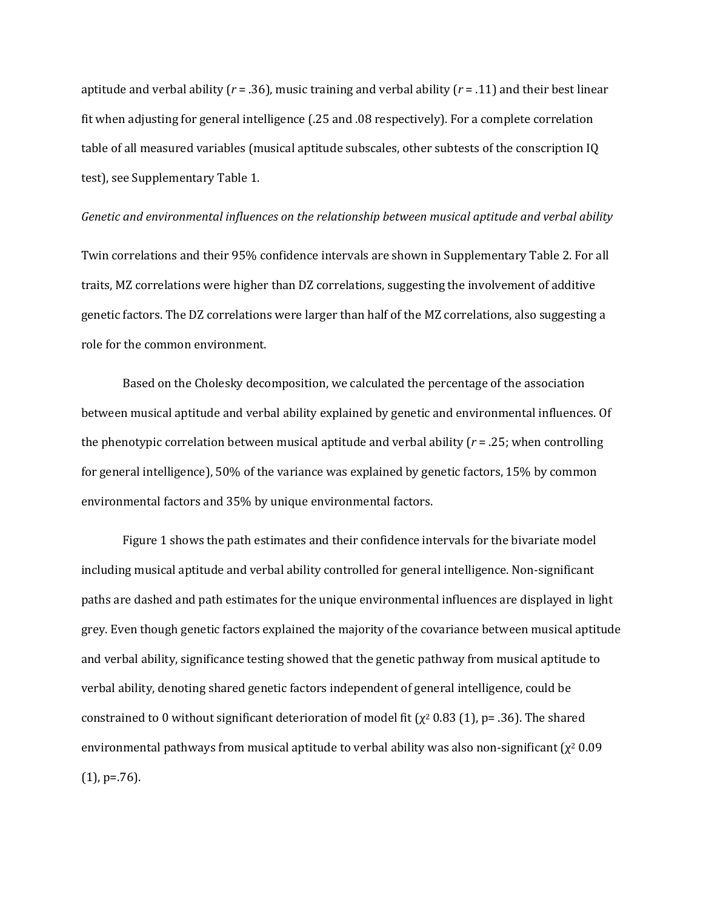aptitude and verbal ability ( $r = .36$ ), music training and verbal ability ( $r = .11$ ) and their best linear fit when adjusting for general intelligence  $(.25$  and  $.08$  respectively). For a complete correlation table of all measured variables (musical aptitude subscales, other subtests of the conscription IQ test), see Supplementary Table 1.

# *Genetic* and environmental influences on the relationship between musical aptitude and verbal ability Twin correlations and their 95% confidence intervals are shown in Supplementary Table 2. For all traits, MZ correlations were higher than DZ correlations, suggesting the involvement of additive genetic factors. The DZ correlations were larger than half of the MZ correlations, also suggesting a role for the common environment.

Based on the Cholesky decomposition, we calculated the percentage of the association between musical aptitude and verbal ability explained by genetic and environmental influences. Of the phenotypic correlation between musical aptitude and verbal ability  $(r = .25)$ ; when controlling for general intelligence),  $50\%$  of the variance was explained by genetic factors,  $15\%$  by common environmental factors and 35% by unique environmental factors.

Figure 1 shows the path estimates and their confidence intervals for the bivariate model including musical aptitude and verbal ability controlled for general intelligence. Non-significant paths are dashed and path estimates for the unique environmental influences are displayed in light grey. Even though genetic factors explained the majority of the covariance between musical aptitude and verbal ability, significance testing showed that the genetic pathway from musical aptitude to verbal ability, denoting shared genetic factors independent of general intelligence, could be constrained to 0 without significant deterioration of model fit ( $\chi^2$  0.83 (1), p= .36). The shared environmental pathways from musical aptitude to verbal ability was also non-significant  $(\chi^2 0.09)$  $(1)$ , p=.76).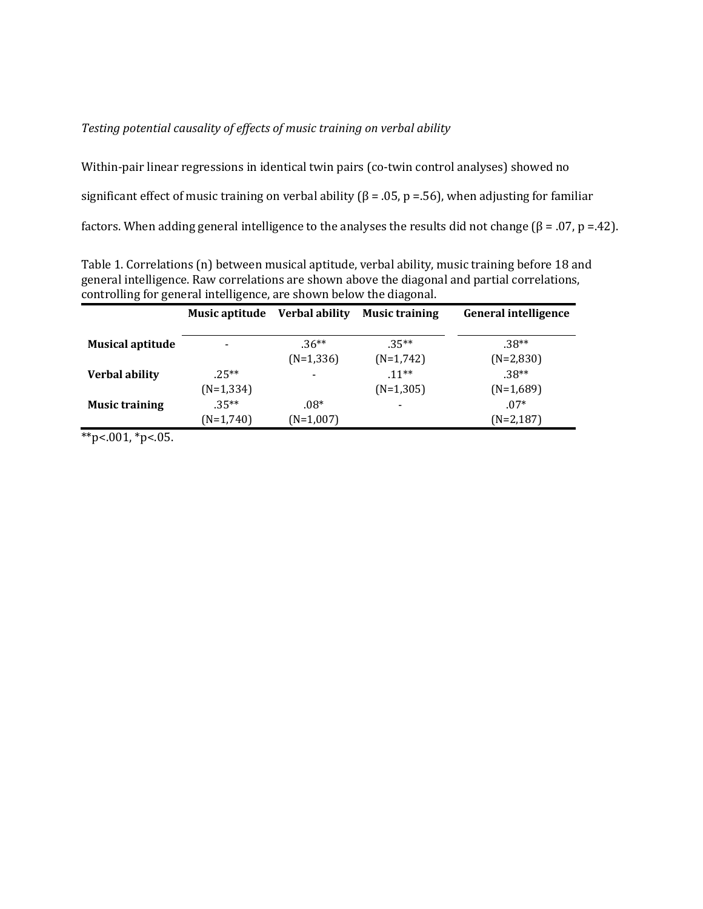# Testing potential causality of effects of music training on verbal ability

Within-pair linear regressions in identical twin pairs (co-twin control analyses) showed no

significant effect of music training on verbal ability  $(\beta = .05, p = .56)$ , when adjusting for familiar

factors. When adding general intelligence to the analyses the results did not change ( $\beta = .07$ , p =.42).

Table 1. Correlations (n) between musical aptitude, verbal ability, music training before 18 and general intelligence. Raw correlations are shown above the diagonal and partial correlations, controlling for general intelligence, are shown below the diagonal.

|                         | Music aptitude | <b>Verbal ability</b>    | <b>Music training</b> | <b>General intelligence</b> |
|-------------------------|----------------|--------------------------|-----------------------|-----------------------------|
| <b>Musical aptitude</b> |                | $.36**$                  | $.35**$               | $.38**$                     |
|                         |                | $(N=1,336)$              | $(N=1,742)$           | $(N=2,830)$                 |
| <b>Verbal ability</b>   | $25**$         | $\overline{\phantom{0}}$ | $.11***$              | $.38**$                     |
|                         | $(N=1,334)$    |                          | $(N=1,305)$           | $(N=1,689)$                 |
| <b>Music training</b>   | $.35**$        | $.08*$                   |                       | $.07*$                      |
|                         | $(N=1,740)$    | $(N=1,007)$              |                       | $(N=2,187)$                 |

 $*p$ <.001,  $*p$ <.05.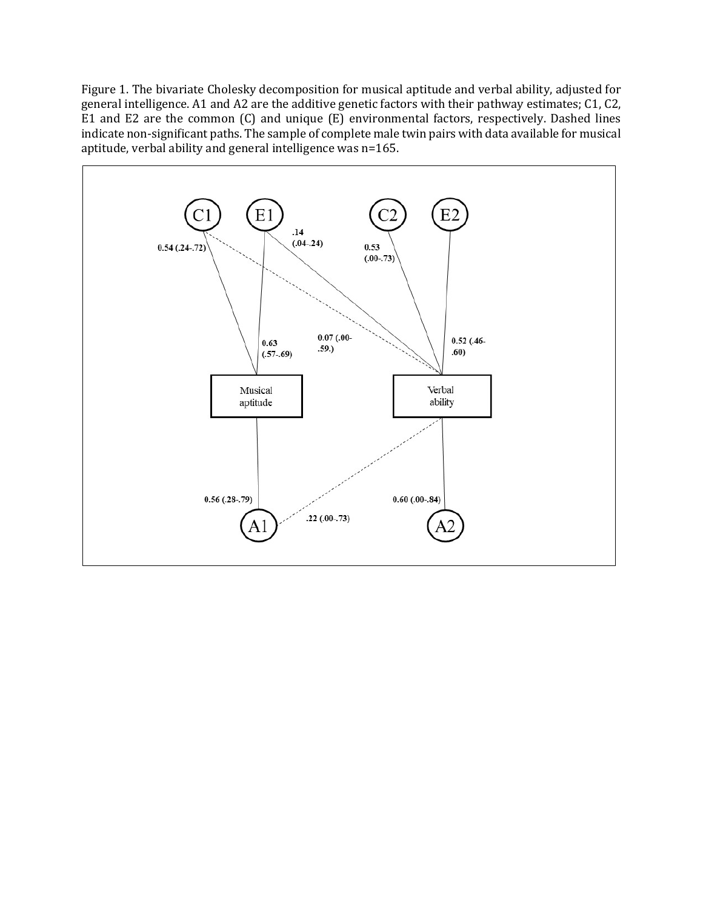Figure 1. The bivariate Cholesky decomposition for musical aptitude and verbal ability, adjusted for general intelligence. A1 and A2 are the additive genetic factors with their pathway estimates; C1, C2, E1 and E2 are the common (C) and unique (E) environmental factors, respectively. Dashed lines indicate non-significant paths. The sample of complete male twin pairs with data available for musical aptitude, verbal ability and general intelligence was n=165.

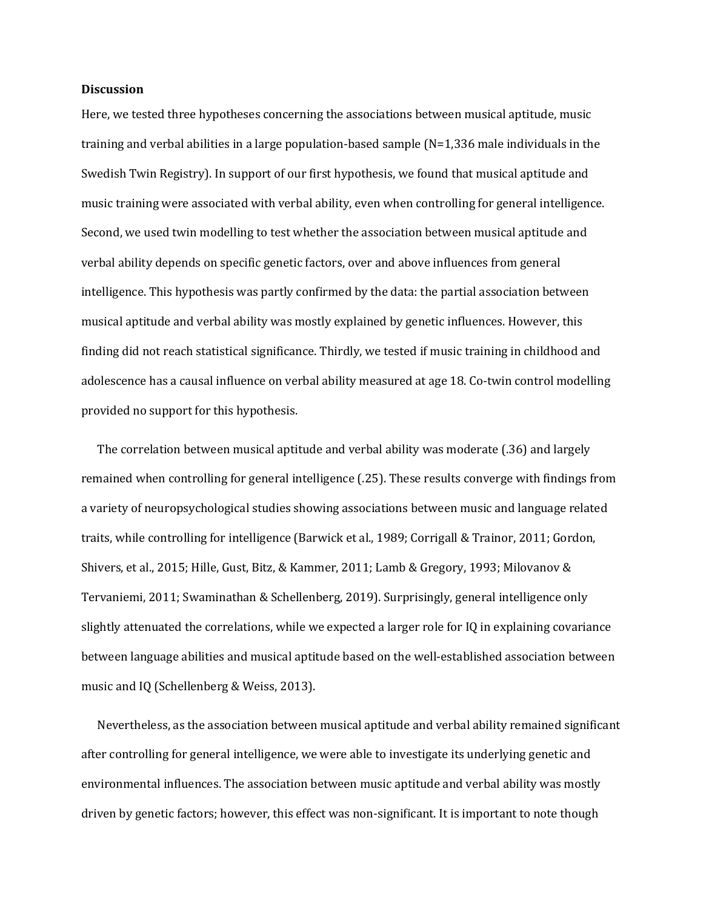#### **Discussion**

Here, we tested three hypotheses concerning the associations between musical aptitude, music training and verbal abilities in a large population-based sample  $(N=1,336)$  male individuals in the Swedish Twin Registry). In support of our first hypothesis, we found that musical aptitude and music training were associated with verbal ability, even when controlling for general intelligence. Second, we used twin modelling to test whether the association between musical aptitude and verbal ability depends on specific genetic factors, over and above influences from general intelligence. This hypothesis was partly confirmed by the data: the partial association between musical aptitude and verbal ability was mostly explained by genetic influences. However, this finding did not reach statistical significance. Thirdly, we tested if music training in childhood and adolescence has a causal influence on verbal ability measured at age 18. Co-twin control modelling provided no support for this hypothesis.

The correlation between musical aptitude and verbal ability was moderate  $(.36)$  and largely remained when controlling for general intelligence (.25). These results converge with findings from a variety of neuropsychological studies showing associations between music and language related traits, while controlling for intelligence (Barwick et al., 1989; Corrigall & Trainor, 2011; Gordon, Shivers, et al., 2015; Hille, Gust, Bitz, & Kammer, 2011; Lamb & Gregory, 1993; Milovanov & Tervaniemi, 2011; Swaminathan & Schellenberg, 2019). Surprisingly, general intelligence only slightly attenuated the correlations, while we expected a larger role for IQ in explaining covariance between language abilities and musical aptitude based on the well-established association between music and IQ (Schellenberg & Weiss, 2013).

Nevertheless, as the association between musical aptitude and verbal ability remained significant after controlling for general intelligence, we were able to investigate its underlying genetic and environmental influences. The association between music aptitude and verbal ability was mostly driven by genetic factors; however, this effect was non-significant. It is important to note though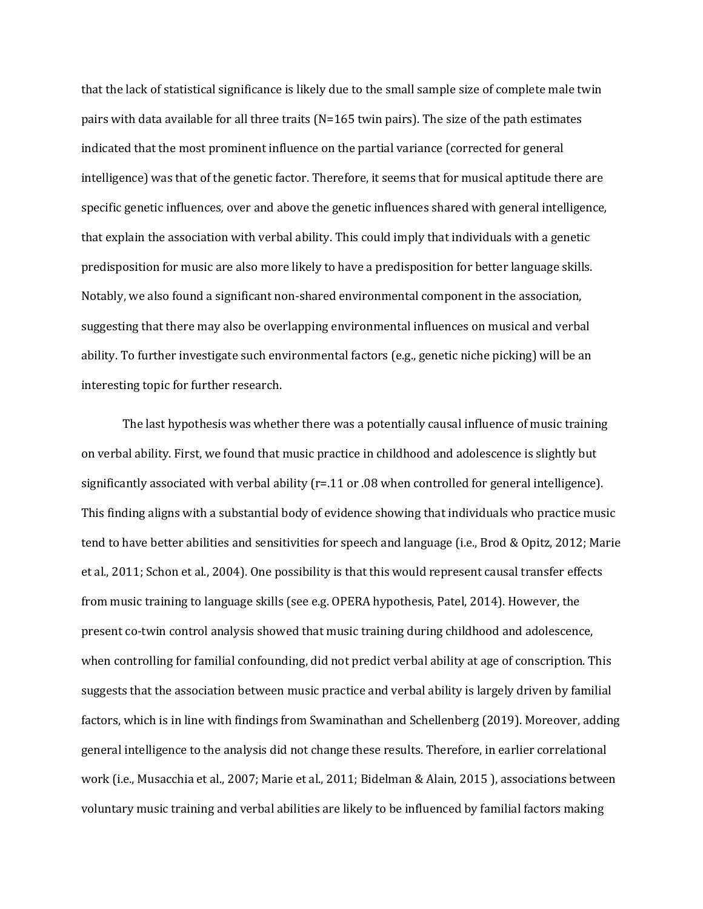that the lack of statistical significance is likely due to the small sample size of complete male twin pairs with data available for all three traits  $(N=165$  twin pairs). The size of the path estimates indicated that the most prominent influence on the partial variance (corrected for general intelligence) was that of the genetic factor. Therefore, it seems that for musical aptitude there are specific genetic influences, over and above the genetic influences shared with general intelligence, that explain the association with verbal ability. This could imply that individuals with a genetic predisposition for music are also more likely to have a predisposition for better language skills. Notably, we also found a significant non-shared environmental component in the association, suggesting that there may also be overlapping environmental influences on musical and verbal ability. To further investigate such environmental factors (e.g., genetic niche picking) will be an interesting topic for further research.

The last hypothesis was whether there was a potentially causal influence of music training on verbal ability. First, we found that music practice in childhood and adolescence is slightly but significantly associated with verbal ability  $(r=.11$  or .08 when controlled for general intelligence). This finding aligns with a substantial body of evidence showing that individuals who practice music tend to have better abilities and sensitivities for speech and language (i.e., Brod & Opitz, 2012; Marie et al., 2011; Schon et al., 2004). One possibility is that this would represent causal transfer effects from music training to language skills (see e.g. OPERA hypothesis, Patel, 2014). However, the present co-twin control analysis showed that music training during childhood and adolescence, when controlling for familial confounding, did not predict verbal ability at age of conscription. This suggests that the association between music practice and verbal ability is largely driven by familial factors, which is in line with findings from Swaminathan and Schellenberg (2019). Moreover, adding general intelligence to the analysis did not change these results. Therefore, in earlier correlational work (i.e., Musacchia et al., 2007; Marie et al., 2011; Bidelman & Alain, 2015), associations between voluntary music training and verbal abilities are likely to be influenced by familial factors making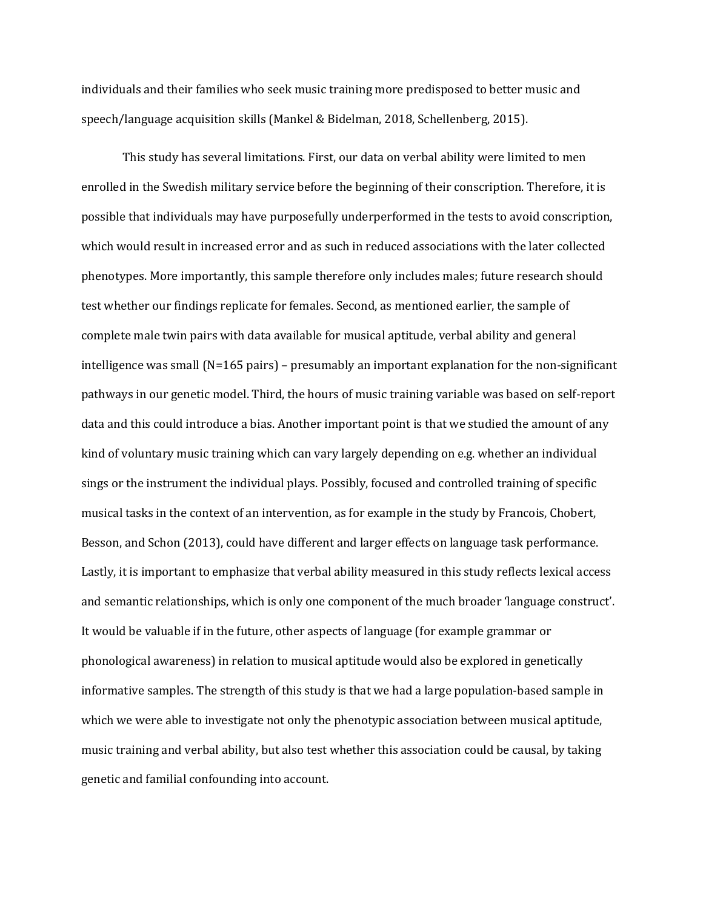individuals and their families who seek music training more predisposed to better music and speech/language acquisition skills (Mankel & Bidelman, 2018, Schellenberg, 2015).

This study has several limitations. First, our data on verbal ability were limited to men enrolled in the Swedish military service before the beginning of their conscription. Therefore, it is possible that individuals may have purposefully underperformed in the tests to avoid conscription, which would result in increased error and as such in reduced associations with the later collected phenotypes. More importantly, this sample therefore only includes males; future research should test whether our findings replicate for females. Second, as mentioned earlier, the sample of complete male twin pairs with data available for musical aptitude, verbal ability and general intelligence was small  $(N=165 \text{ pairs})$  – presumably an important explanation for the non-significant pathways in our genetic model. Third, the hours of music training variable was based on self-report data and this could introduce a bias. Another important point is that we studied the amount of any kind of voluntary music training which can vary largely depending on e.g. whether an individual sings or the instrument the individual plays. Possibly, focused and controlled training of specific musical tasks in the context of an intervention, as for example in the study by Francois, Chobert, Besson, and Schon (2013), could have different and larger effects on language task performance. Lastly, it is important to emphasize that verbal ability measured in this study reflects lexical access and semantic relationships, which is only one component of the much broader 'language construct'. It would be valuable if in the future, other aspects of language (for example grammar or phonological awareness) in relation to musical aptitude would also be explored in genetically informative samples. The strength of this study is that we had a large population-based sample in which we were able to investigate not only the phenotypic association between musical aptitude, music training and verbal ability, but also test whether this association could be causal, by taking genetic and familial confounding into account.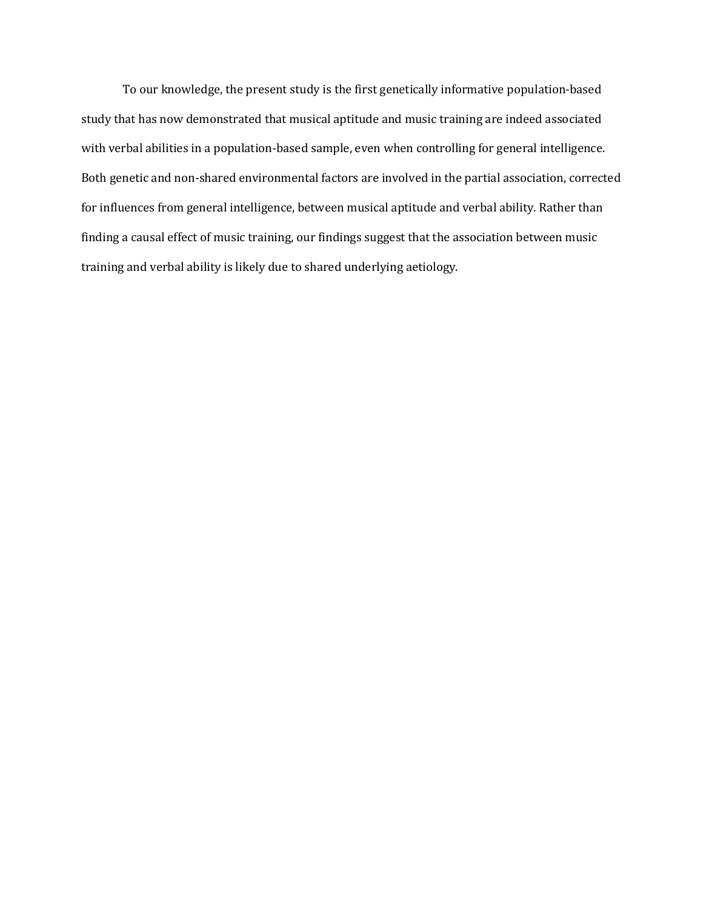To our knowledge, the present study is the first genetically informative population-based study that has now demonstrated that musical aptitude and music training are indeed associated with verbal abilities in a population-based sample, even when controlling for general intelligence. Both genetic and non-shared environmental factors are involved in the partial association, corrected for influences from general intelligence, between musical aptitude and verbal ability. Rather than finding a causal effect of music training, our findings suggest that the association between music training and verbal ability is likely due to shared underlying aetiology.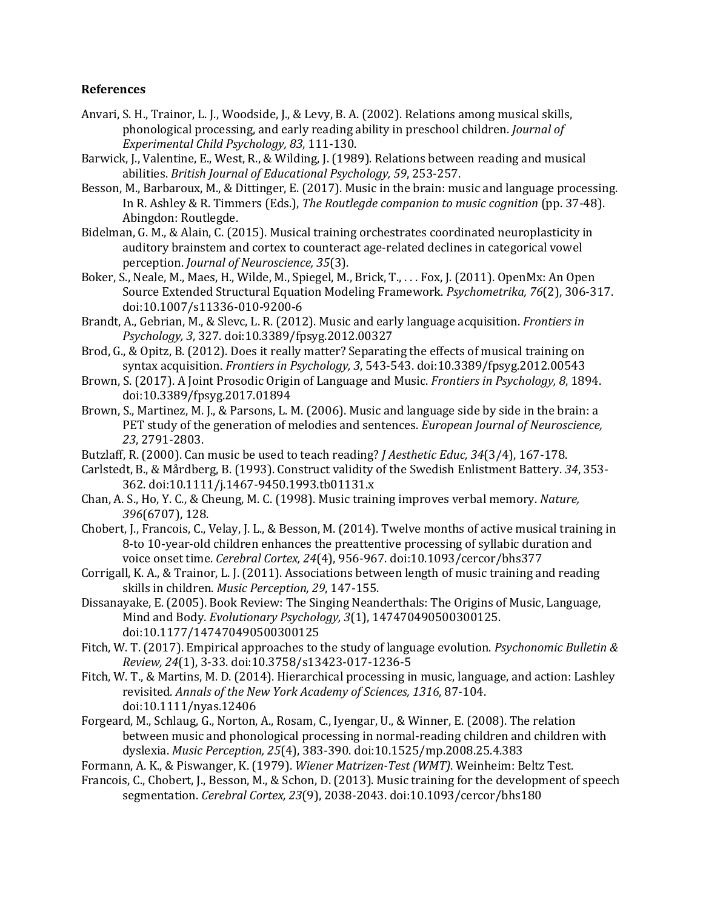# **References**

- Anvari, S. H., Trainor, L. J., Woodside, J., & Levy, B. A. (2002). Relations among musical skills, phonological processing, and early reading ability in preschool children. *Journal of Experimental Child Psychology, 83*, 111-130.
- Barwick, J., Valentine, E., West, R., & Wilding, J. (1989). Relations between reading and musical abilities. *British Journal of Educational Psychology, 59*, 253-257.
- Besson, M., Barbaroux, M., & Dittinger, E. (2017). Music in the brain: music and language processing. In R. Ashley & R. Timmers (Eds.), *The Routlegde companion to music cognition* (pp. 37-48). Abingdon: Routlegde.
- Bidelman, G. M., & Alain, C. (2015). Musical training orchestrates coordinated neuroplasticity in auditory brainstem and cortex to counteract age-related declines in categorical vowel perception. *Journal of Neuroscience, 35*(3).
- Boker, S., Neale, M., Maes, H., Wilde, M., Spiegel, M., Brick, T., . . . Fox, J. (2011). OpenMx: An Open Source Extended Structural Equation Modeling Framework. *Psychometrika*, 76(2), 306-317. doi:10.1007/s11336-010-9200-6
- Brandt, A., Gebrian, M., & Slevc, L. R. (2012). Music and early language acquisition. *Frontiers in Psychology, 3*, 327. doi:10.3389/fpsyg.2012.00327
- Brod, G., & Opitz, B. (2012). Does it really matter? Separating the effects of musical training on syntax acquisition. *Frontiers in Psychology, 3*, 543-543. doi:10.3389/fpsyg.2012.00543
- Brown, S. (2017). A Joint Prosodic Origin of Language and Music. *Frontiers in Psychology*, 8, 1894. doi:10.3389/fpsyg.2017.01894
- Brown, S., Martinez, M. J., & Parsons, L. M. (2006). Music and language side by side in the brain: a PET study of the generation of melodies and sentences. *European Journal of Neuroscience*, *23*, 2791-2803.
- Butzlaff, R. (2000). Can music be used to teach reading? *J Aesthetic Educ, 34*(3/4), 167-178.
- Carlstedt, B., & Mårdberg, B. (1993). Construct validity of the Swedish Enlistment Battery. 34, 353-362. doi:10.1111/j.1467-9450.1993.tb01131.x
- Chan, A. S., Ho, Y. C., & Cheung, M. C. (1998). Music training improves verbal memory. *Nature*, 396(6707), 128.
- Chobert, J., Francois, C., Velay, J. L., & Besson, M. (2014). Twelve months of active musical training in 8-to 10-year-old children enhances the preattentive processing of syllabic duration and voice onset time. *Cerebral Cortex, 24*(4), 956-967. doi:10.1093/cercor/bhs377
- Corrigall, K. A., & Trainor, L. J. (2011). Associations between length of music training and reading skills in children. *Music Perception*, 29, 147-155.
- Dissanayake, E. (2005). Book Review: The Singing Neanderthals: The Origins of Music, Language, Mind and Body. *Evolutionary Psychology, 3*(1), 147470490500300125. doi:10.1177/147470490500300125
- Fitch, W. T. (2017). Empirical approaches to the study of language evolution. *Psychonomic Bulletin & Review, 24*(1), 3-33. doi:10.3758/s13423-017-1236-5
- Fitch, W. T., & Martins, M. D. (2014). Hierarchical processing in music, language, and action: Lashley revisited. Annals of the New York Academy of Sciences, 1316, 87-104. doi:10.1111/nyas.12406
- Forgeard, M., Schlaug, G., Norton, A., Rosam, C., Iyengar, U., & Winner, E. (2008). The relation between music and phonological processing in normal-reading children and children with dyslexia. *Music Perception, 25*(4), 383-390. doi:10.1525/mp.2008.25.4.383
- Formann, A. K., & Piswanger, K. (1979). *Wiener Matrizen-Test (WMT)*. Weinheim: Beltz Test.
- Francois, C., Chobert, J., Besson, M., & Schon, D. (2013). Music training for the development of speech segmentation. *Cerebral Cortex, 23*(9), 2038-2043. doi:10.1093/cercor/bhs180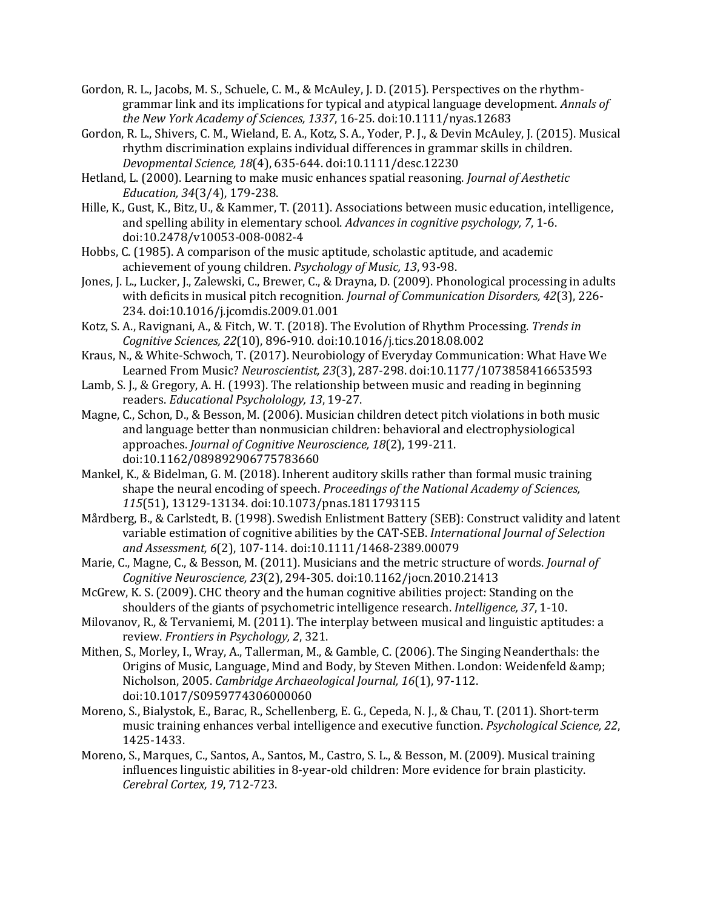- Gordon, R. L., Jacobs, M. S., Schuele, C. M., & McAuley, J. D. (2015). Perspectives on the rhythmgrammar link and its implications for typical and atypical language development. *Annals of the New York Academy of Sciences, 1337, 16-25. doi:10.1111/nyas.12683*
- Gordon, R. L., Shivers, C. M., Wieland, E. A., Kotz, S. A., Yoder, P. J., & Devin McAuley, J. (2015). Musical rhythm discrimination explains individual differences in grammar skills in children. *Devopmental Science, 18*(4), 635-644. doi:10.1111/desc.12230
- Hetland, L. (2000). Learning to make music enhances spatial reasoning. *Journal of Aesthetic Education, 34*(3/4), 179-238.
- Hille, K., Gust, K., Bitz, U., & Kammer, T. (2011). Associations between music education, intelligence, and spelling ability in elementary school. *Advances in cognitive psychology*, 7, 1-6. doi:10.2478/v10053-008-0082-4
- Hobbs, C. (1985). A comparison of the music aptitude, scholastic aptitude, and academic achievement of young children. *Psychology of Music*, 13, 93-98.
- Jones, J. L., Lucker, J., Zalewski, C., Brewer, C., & Drayna, D. (2009). Phonological processing in adults with deficits in musical pitch recognition. *Journal of Communication Disorders, 42*(3), 226-234. doi:10.1016/j.jcomdis.2009.01.001
- Kotz, S. A., Ravignani, A., & Fitch, W. T. (2018). The Evolution of Rhythm Processing. *Trends in Cognitive Sciences, 22*(10), 896-910. doi:10.1016/j.tics.2018.08.002
- Kraus, N., & White-Schwoch, T. (2017). Neurobiology of Everyday Communication: What Have We Learned From Music? Neuroscientist, 23(3), 287-298. doi:10.1177/1073858416653593
- Lamb, S. J., & Gregory, A. H. (1993). The relationship between music and reading in beginning readers. *Educational Psycholology, 13*, 19-27.
- Magne, C., Schon, D., & Besson, M. (2006). Musician children detect pitch violations in both music and language better than nonmusician children: behavioral and electrophysiological approaches. *Journal of Cognitive Neuroscience, 18*(2), 199-211. doi:10.1162/089892906775783660
- Mankel, K., & Bidelman, G. M. (2018). Inherent auditory skills rather than formal music training shape the neural encoding of speech. *Proceedings of the National Academy of Sciences*, *115*(51), 13129-13134. doi:10.1073/pnas.1811793115
- Mårdberg, B., & Carlstedt, B. (1998). Swedish Enlistment Battery (SEB): Construct validity and latent variable estimation of cognitive abilities by the CAT-SEB. *International Journal of Selection* and Assessment, 6(2), 107-114. doi:10.1111/1468-2389.00079
- Marie, C., Magne, C., & Besson, M. (2011). Musicians and the metric structure of words. *Journal of Cognitive Neuroscience, 23*(2), 294-305. doi:10.1162/jocn.2010.21413
- McGrew, K. S. (2009). CHC theory and the human cognitive abilities project: Standing on the shoulders of the giants of psychometric intelligence research. *Intelligence*, 37, 1-10.
- Milovanov, R., & Tervaniemi, M. (2011). The interplay between musical and linguistic aptitudes: a review. Frontiers in Psychology, 2, 321.
- Mithen, S., Morley, I., Wray, A., Tallerman, M., & Gamble, C. (2006). The Singing Neanderthals: the Origins of Music, Language, Mind and Body, by Steven Mithen. London: Weidenfeld & Nicholson, 2005. *Cambridge Archaeological Journal, 16*(1), 97-112. doi:10.1017/S0959774306000060
- Moreno, S., Bialystok, E., Barac, R., Schellenberg, E. G., Cepeda, N. J., & Chau, T. (2011). Short-term music training enhances verbal intelligence and executive function. *Psychological Science*, 22, 1425-1433.
- Moreno, S., Marques, C., Santos, A., Santos, M., Castro, S. L., & Besson, M. (2009). Musical training influences linguistic abilities in 8-year-old children: More evidence for brain plasticity. *Cerebral Cortex, 19*, 712-723.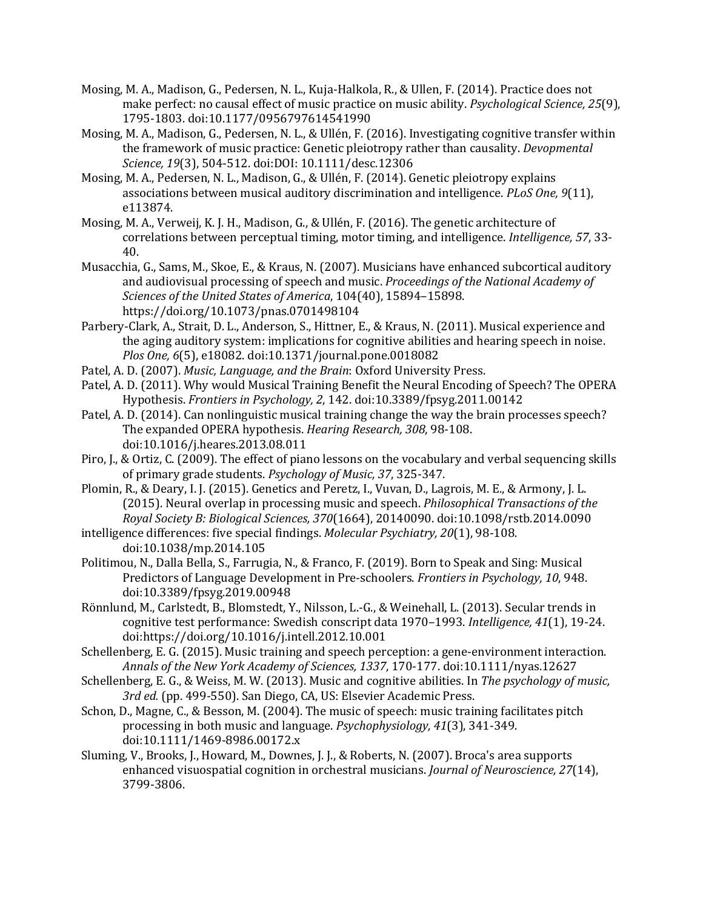- Mosing, M. A., Madison, G., Pedersen, N. L., Kuja-Halkola, R., & Ullen, F. (2014). Practice does not make perfect: no causal effect of music practice on music ability. *Psychological Science, 25*(9), 1795-1803. doi:10.1177/0956797614541990
- Mosing, M. A., Madison, G., Pedersen, N. L., & Ullén, F. (2016). Investigating cognitive transfer within the framework of music practice: Genetic pleiotropy rather than causality. *Devopmental* Science, 19(3), 504-512. doi:DOI: 10.1111/desc.12306
- Mosing, M. A., Pedersen, N. L., Madison, G., & Ullén, F. (2014). Genetic pleiotropy explains associations between musical auditory discrimination and intelligence. *PLoS One, 9*(11), e113874.
- Mosing, M. A., Verweij, K. J. H., Madison, G., & Ullén, F. (2016). The genetic architecture of correlations between perceptual timing, motor timing, and intelligence. *Intelligence*, 57, 33-40.
- Musacchia, G., Sams, M., Skoe, E., & Kraus, N. (2007). Musicians have enhanced subcortical auditory and audiovisual processing of speech and music. *Proceedings of the National Academy of* Sciences of the United States of America, 104(40), 15894-15898. https://doi.org/10.1073/pnas.0701498104
- Parbery-Clark, A., Strait, D. L., Anderson, S., Hittner, E., & Kraus, N. (2011). Musical experience and the aging auditory system: implications for cognitive abilities and hearing speech in noise. *Plos One,* 6(5), e18082. doi:10.1371/journal.pone.0018082
- Patel, A. D. (2007). *Music, Language, and the Brain*: Oxford University Press.
- Patel, A. D. (2011). Why would Musical Training Benefit the Neural Encoding of Speech? The OPERA Hypothesis. *Frontiers in Psychology, 2*, 142. doi:10.3389/fpsyg.2011.00142
- Patel, A. D. (2014). Can nonlinguistic musical training change the way the brain processes speech? The expanded OPERA hypothesis. *Hearing Research, 308, 98-108.* doi:10.1016/j.heares.2013.08.011
- Piro, J., & Ortiz, C. (2009). The effect of piano lessons on the vocabulary and verbal sequencing skills of primary grade students. *Psychology of Music, 37, 325-347*.
- Plomin, R., & Deary, I. J. (2015). Genetics and Peretz, I., Vuvan, D., Lagrois, M. E., & Armony, J. L. (2015). Neural overlap in processing music and speech. *Philosophical Transactions of the Royal Society B: Biological Sciences, 370*(1664), 20140090. doi:10.1098/rstb.2014.0090
- intelligence differences: five special findings. *Molecular Psychiatry, 20*(1), 98-108. doi:10.1038/mp.2014.105
- Politimou, N., Dalla Bella, S., Farrugia, N., & Franco, F. (2019). Born to Speak and Sing: Musical Predictors of Language Development in Pre-schoolers. *Frontiers in Psychology, 10*, 948. doi:10.3389/fpsyg.2019.00948
- Rönnlund, M., Carlstedt, B., Blomstedt, Y., Nilsson, L.-G., & Weinehall, L. (2013). Secular trends in cognitive test performance: Swedish conscript data 1970-1993. Intelligence, 41(1), 19-24. doi:https://doi.org/10.1016/j.intell.2012.10.001
- Schellenberg, E. G. (2015). Music training and speech perception: a gene-environment interaction. *Annals of the New York Academy of Sciences, 1337*, 170-177. doi:10.1111/nyas.12627
- Schellenberg, E. G., & Weiss, M. W. (2013). Music and cognitive abilities. In *The psychology of music,* 3rd ed. (pp. 499-550). San Diego, CA, US: Elsevier Academic Press.
- Schon, D., Magne, C., & Besson, M. (2004). The music of speech: music training facilitates pitch processing in both music and language. *Psychophysiology,* 41(3), 341-349. doi:10.1111/1469-8986.00172.x
- Sluming, V., Brooks, J., Howard, M., Downes, J. J., & Roberts, N. (2007). Broca's area supports enhanced visuospatial cognition in orchestral musicians. *Journal of Neuroscience*, 27(14), 3799-3806.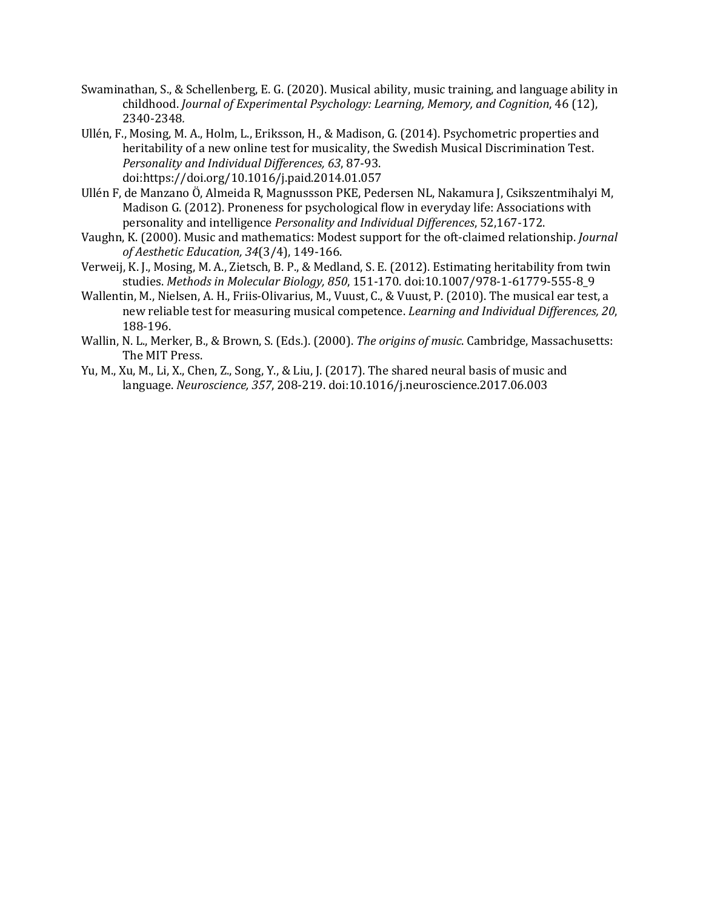- Swaminathan, S., & Schellenberg, E. G. (2020). Musical ability, music training, and language ability in childhood. *Journal of Experimental Psychology: Learning, Memory, and Cognition, 46* (12), 2340-2348*.*
- Ullén, F., Mosing, M. A., Holm, L., Eriksson, H., & Madison, G. (2014). Psychometric properties and heritability of a new online test for musicality, the Swedish Musical Discrimination Test. *Personality and Individual Differences, 63*, 87-93. doi:https://doi.org/10.1016/j.paid.2014.01.057
- Ullén F, de Manzano Ö, Almeida R, Magnussson PKE, Pedersen NL, Nakamura J, Csikszentmihalyi M, Madison G. (2012). Proneness for psychological flow in everyday life: Associations with personality and intelligence *Personality and Individual Differences*, 52,167-172.
- Vaughn, K. (2000). Music and mathematics: Modest support for the oft-claimed relationship. *Journal of Aesthetic Education, 34*(3/4), 149-166.
- Verweij, K. J., Mosing, M. A., Zietsch, B. P., & Medland, S. E. (2012). Estimating heritability from twin studies. *Methods in Molecular Biology, 850*, 151-170. doi:10.1007/978-1-61779-555-8\_9
- Wallentin, M., Nielsen, A. H., Friis-Olivarius, M., Vuust, C., & Vuust, P. (2010). The musical ear test, a new reliable test for measuring musical competence. *Learning and Individual Differences, 20*, 188-196.
- Wallin, N. L., Merker, B., & Brown, S. (Eds.). (2000). The origins of music. Cambridge, Massachusetts: The MIT Press.
- Yu, M., Xu, M., Li, X., Chen, Z., Song, Y., & Liu, J. (2017). The shared neural basis of music and language. *Neuroscience, 357*, 208-219. doi:10.1016/j.neuroscience.2017.06.003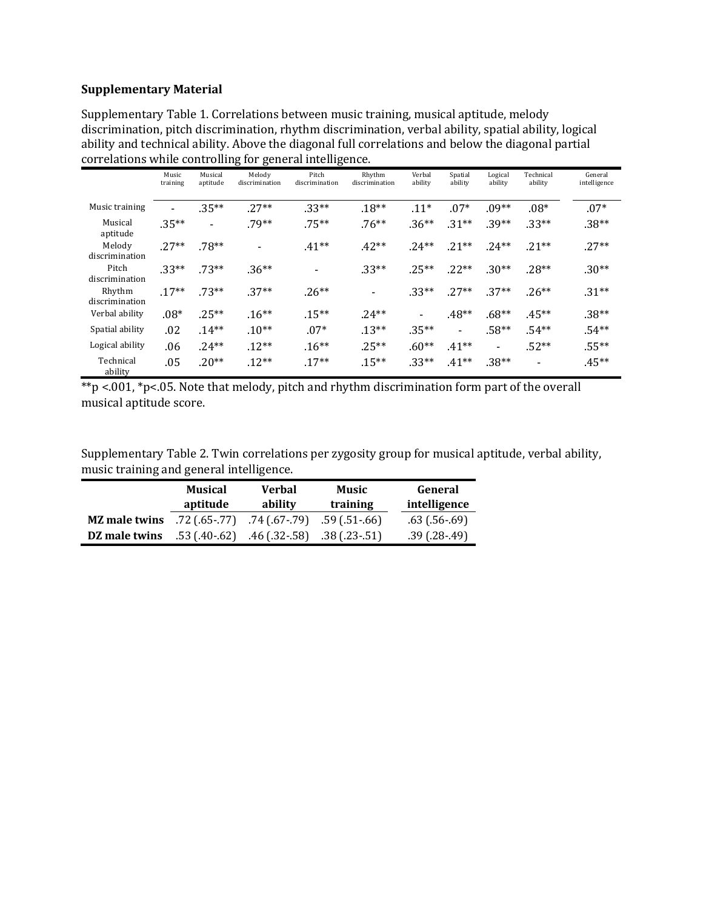# **Supplementary Material**

Supplementary Table 1. Correlations between music training, musical aptitude, melody discrimination, pitch discrimination, rhythm discrimination, verbal ability, spatial ability, logical ability and technical ability. Above the diagonal full correlations and below the diagonal partial correlations while controlling for general intelligence.

|                          | Music<br>training | Musical<br>aptitude | Melody<br>discrimination | Pitch<br>discrimination  | Rhythm<br>discrimination | Verbal<br>ability | Spatial<br>ability       | Logical<br>ability           | Technical<br>ability     | General<br>intelligence |
|--------------------------|-------------------|---------------------|--------------------------|--------------------------|--------------------------|-------------------|--------------------------|------------------------------|--------------------------|-------------------------|
| Music training           |                   | $.35***$            | $.27**$                  | $.33**$                  | $.18**$                  | $.11*$            | $.07*$                   | $.09**$                      | $.08*$                   | $.07*$                  |
| Musical<br>aptitude      | $.35***$          | -                   | $.79**$                  | $.75***$                 | $.76***$                 | $.36**$           | $.31**$                  | $.39**$                      | $.33**$                  | $.38**$                 |
| Melody<br>discrimination | $.27**$           | $.78**$             |                          | $.41**$                  | $.42**$                  | $.24**$           | $.21**$                  | $.24**$                      | $.21**$                  | $.27**$                 |
| Pitch<br>discrimination  | $.33**$           | $.73**$             | $.36**$                  | $\overline{\phantom{0}}$ | $.33**$                  | $.25***$          | $.22**$                  | $.30**$                      | $.28**$                  | $.30**$                 |
| Rhythm<br>discrimination | $.17**$           | $.73**$             | $.37**$                  | $.26**$                  | $\overline{\phantom{a}}$ | $.33**$           | $.27**$                  | $.37**$                      | $.26**$                  | $.31**$                 |
| Verbal ability           | $.08*$            | $.25***$            | $.16**$                  | $.15***$                 | $.24**$                  |                   | $.48**$                  | $.68**$                      | $.45***$                 | $.38**$                 |
| Spatial ability          | .02               | $.14***$            | $.10**$                  | $.07*$                   | $.13***$                 | $.35***$          | $\overline{\phantom{a}}$ | $.58**$                      | $.54**$                  | $.54**$                 |
| Logical ability          | .06               | $.24**$             | $.12***$                 | $.16***$                 | $.25**$                  | $.60**$           | $.41**$                  | $\qquad \qquad \blacksquare$ | $.52**$                  | $.55***$                |
| Technical<br>ability     | .05               | $.20**$             | $.12**$                  | $.17**$                  | $.15***$                 | $.33**$           | $.41**$                  | $.38**$                      | $\overline{\phantom{0}}$ | $.45**$                 |

|                         |  | **p <.001, *p<.05. Note that melody, pitch and rhythm discrimination form part of the overall |  |  |
|-------------------------|--|-----------------------------------------------------------------------------------------------|--|--|
| musical aptitude score. |  |                                                                                               |  |  |

Supplementary Table 2. Twin correlations per zygosity group for musical aptitude, verbal ability, music training and general intelligence.

|                      | Musical       | <b>Verbal</b>                          | Music             | General            |  |
|----------------------|---------------|----------------------------------------|-------------------|--------------------|--|
|                      | aptitude      | ability                                | training          | intelligence       |  |
| <b>MZ</b> male twins | .72 (.65-.77) | .74 (.67-.79)                          | $.59$ (.51 - .66) | $.63$ (.56 $.69$ ) |  |
| DZ male twins        |               | $.53(40.62)$ $.46(32.58)$ $.38(23.51)$ |                   | $.39(.28-.49)$     |  |